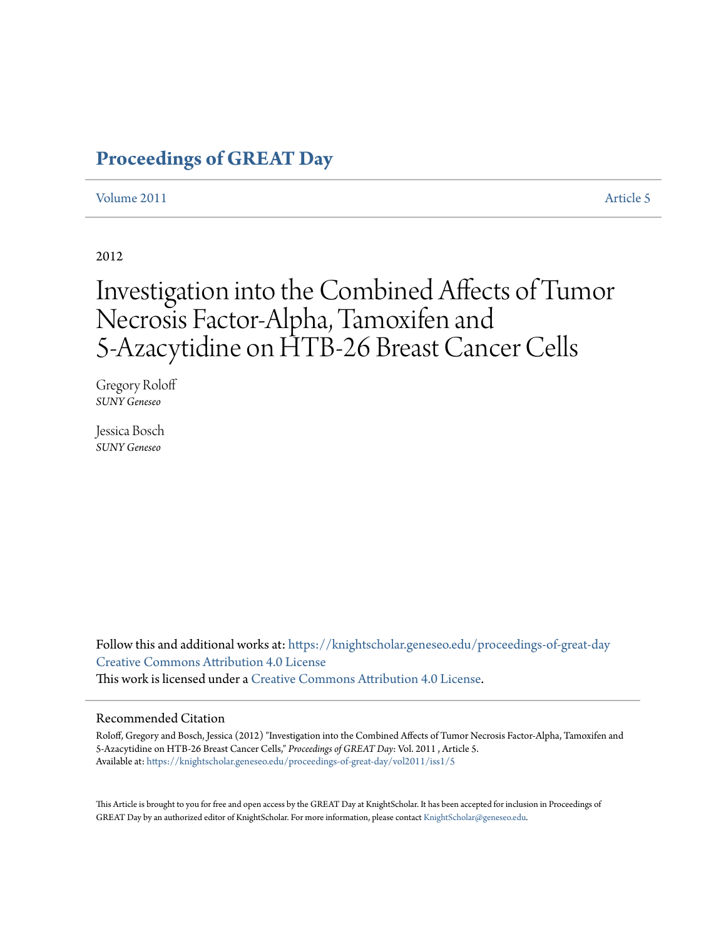# **[Proceedings of GREAT Day](https://knightscholar.geneseo.edu/proceedings-of-great-day?utm_source=knightscholar.geneseo.edu%2Fproceedings-of-great-day%2Fvol2011%2Fiss1%2F5&utm_medium=PDF&utm_campaign=PDFCoverPages)**

## [Volume 2011](https://knightscholar.geneseo.edu/proceedings-of-great-day/vol2011?utm_source=knightscholar.geneseo.edu%2Fproceedings-of-great-day%2Fvol2011%2Fiss1%2F5&utm_medium=PDF&utm_campaign=PDFCoverPages) **[Article 5](https://knightscholar.geneseo.edu/proceedings-of-great-day/vol2011/iss1/5?utm_source=knightscholar.geneseo.edu%2Fproceedings-of-great-day%2Fvol2011%2Fiss1%2F5&utm_medium=PDF&utm_campaign=PDFCoverPages)**

#### 2012

# Investigation into the Combined Affects of Tumor Necrosis Factor-Alpha, Tamoxifen and 5-Azacytidine on HTB-26 Breast Cancer Cells

Gregory Roloff *SUNY Geneseo*

Jessica Bosch *SUNY Geneseo*

Follow this and additional works at: [https://knightscholar.geneseo.edu/proceedings-of-great-day](https://knightscholar.geneseo.edu/proceedings-of-great-day?utm_source=knightscholar.geneseo.edu%2Fproceedings-of-great-day%2Fvol2011%2Fiss1%2F5&utm_medium=PDF&utm_campaign=PDFCoverPages) [Creative Commons Attribution 4.0 License](http://creativecommons.org/licenses/by/4.0/) This work is licensed under a [Creative Commons Attribution 4.0 License.](http://creativecommons.org/licenses/by/4.0/)

#### Recommended Citation

Roloff, Gregory and Bosch, Jessica (2012) "Investigation into the Combined Affects of Tumor Necrosis Factor-Alpha, Tamoxifen and 5-Azacytidine on HTB-26 Breast Cancer Cells," *Proceedings of GREAT Day*: Vol. 2011 , Article 5. Available at: [https://knightscholar.geneseo.edu/proceedings-of-great-day/vol2011/iss1/5](https://knightscholar.geneseo.edu/proceedings-of-great-day/vol2011/iss1/5?utm_source=knightscholar.geneseo.edu%2Fproceedings-of-great-day%2Fvol2011%2Fiss1%2F5&utm_medium=PDF&utm_campaign=PDFCoverPages)

This Article is brought to you for free and open access by the GREAT Day at KnightScholar. It has been accepted for inclusion in Proceedings of GREAT Day by an authorized editor of KnightScholar. For more information, please contact [KnightScholar@geneseo.edu.](mailto:KnightScholar@geneseo.edu)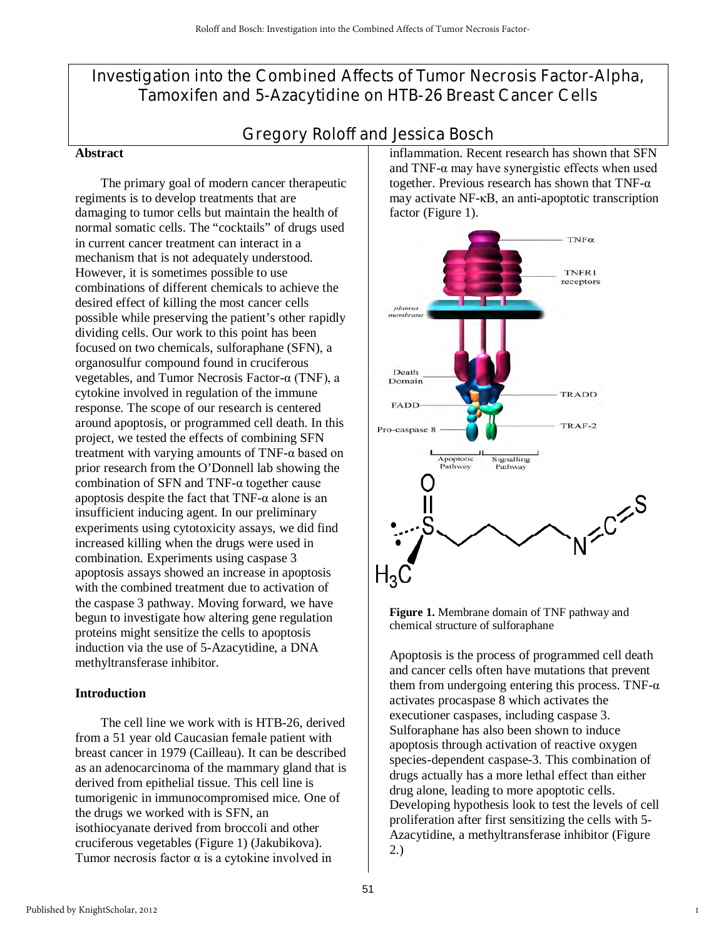# Investigation into the Combined Affects of Tumor Necrosis Factor-Alpha, Tamoxifen and 5-Azacytidine on HTB-26 Breast Cancer Cells

# Gregory Roloff and Jessica Bosch

#### **Abstract**

 The primary goal of modern cancer therapeutic regiments is to develop treatments that are damaging to tumor cells but maintain the health of normal somatic cells. The "cocktails" of drugs used in current cancer treatment can interact in a mechanism that is not adequately understood. However, it is sometimes possible to use combinations of different chemicals to achieve the desired effect of killing the most cancer cells possible while preserving the patient's other rapidly dividing cells. Our work to this point has been focused on two chemicals, sulforaphane (SFN), a organosulfur compound found in cruciferous vegetables, and Tumor Necrosis Factor-α (TNF), a cytokine involved in regulation of the immune response. The scope of our research is centered around apoptosis, or programmed cell death. In this project, we tested the effects of combining SFN treatment with varying amounts of  $TNF-\alpha$  based on prior research from the O'Donnell lab showing the combination of SFN and TNF-α together cause apoptosis despite the fact that  $TNF-\alpha$  alone is an insufficient inducing agent. In our preliminary experiments using cytotoxicity assays, we did find increased killing when the drugs were used in combination. Experiments using caspase 3 apoptosis assays showed an increase in apoptosis with the combined treatment due to activation of the caspase 3 pathway. Moving forward, we have begun to investigate how altering gene regulation proteins might sensitize the cells to apoptosis induction via the use of 5-Azacytidine, a DNA methyltransferase inhibitor.

#### **Introduction**

The cell line we work with is HTB-26, derived from a 51 year old Caucasian female patient with breast cancer in 1979 (Cailleau). It can be described as an adenocarcinoma of the mammary gland that is derived from epithelial tissue. This cell line is tumorigenic in immunocompromised mice. One of the drugs we worked with is SFN, an isothiocyanate derived from broccoli and other cruciferous vegetables (Figure 1) (Jakubikova). Tumor necrosis factor  $\alpha$  is a cytokine involved in

inflammation. Recent research has shown that SFN and TNF- $\alpha$  may have synergistic effects when used together. Previous research has shown that TNF-α may activate NF-κB, an anti-apoptotic transcription factor (Figure 1).



**Figure 1.** Membrane domain of TNF pathway and chemical structure of sulforaphane

Apoptosis is the process of programmed cell death and cancer cells often have mutations that prevent them from undergoing entering this process. TNF- $\alpha$ activates procaspase 8 which activates the executioner caspases, including caspase 3. Sulforaphane has also been shown to induce apoptosis through activation of reactive oxygen species-dependent caspase-3. This combination of drugs actually has a more lethal effect than either drug alone, leading to more apoptotic cells. Developing hypothesis look to test the levels of cell proliferation after first sensitizing the cells with 5- Azacytidine, a methyltransferase inhibitor (Figure 2.)

1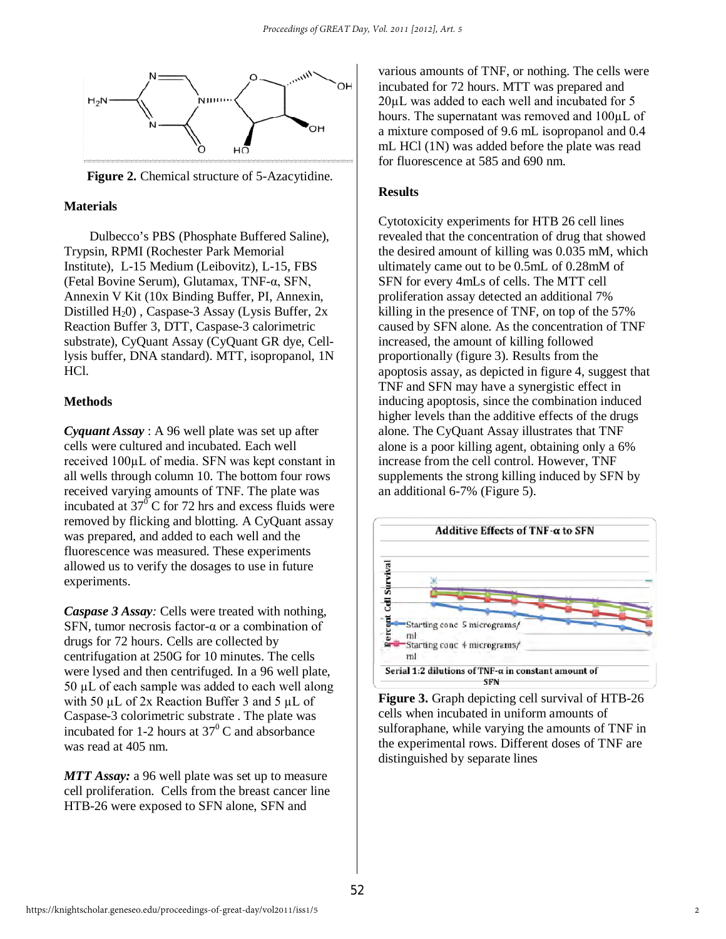

 **Figure 2.** Chemical structure of 5-Azacytidine.

#### **Materials**

Dulbecco's PBS (Phosphate Buffered Saline), Trypsin, RPMI (Rochester Park Memorial Institute), L-15 Medium (Leibovitz), L-15, FBS (Fetal Bovine Serum), Glutamax, TNF-α, SFN, Annexin V Kit (10x Binding Buffer, PI, Annexin, Distilled  $H_2$ 0), Caspase-3 Assay (Lysis Buffer, 2x Reaction Buffer 3, DTT, Caspase-3 calorimetric substrate), CyQuant Assay (CyQuant GR dye, Celllysis buffer, DNA standard). MTT, isopropanol, 1N HCl.

## **Methods**

*Cyquant Assay* : A 96 well plate was set up after cells were cultured and incubated. Each well received 100µL of media. SFN was kept constant in all wells through column 10. The bottom four rows received varying amounts of TNF. The plate was incubated at  $37^{\circ}$  C for 72 hrs and excess fluids were removed by flicking and blotting. A CyQuant assay was prepared, and added to each well and the fluorescence was measured. These experiments allowed us to verify the dosages to use in future experiments.

*Caspase 3 Assay:* Cells were treated with nothing, SFN, tumor necrosis factor-α or a combination of drugs for 72 hours. Cells are collected by centrifugation at 250G for 10 minutes. The cells were lysed and then centrifuged. In a 96 well plate,  $50 \mu L$  of each sample was added to each well along with 50  $\mu$ L of 2x Reaction Buffer 3 and 5  $\mu$ L of Caspase-3 colorimetric substrate . The plate was incubated for 1-2 hours at  $37^{\circ}$ C and absorbance was read at 405 nm.

*MTT Assay:* a 96 well plate was set up to measure cell proliferation. Cells from the breast cancer line HTB-26 were exposed to SFN alone, SFN and

various amounts of TNF, or nothing. The cells were incubated for 72 hours. MTT was prepared and 20µL was added to each well and incubated for 5 hours. The supernatant was removed and 100µL of a mixture composed of 9.6 mL isopropanol and 0.4 mL HCl (1N) was added before the plate was read for fluorescence at 585 and 690 nm.

#### **Results**

Cytotoxicity experiments for HTB 26 cell lines revealed that the concentration of drug that showed the desired amount of killing was 0.035 mM, which ultimately came out to be 0.5mL of 0.28mM of SFN for every 4mLs of cells. The MTT cell proliferation assay detected an additional 7% killing in the presence of TNF, on top of the 57% caused by SFN alone. As the concentration of TNF increased, the amount of killing followed proportionally (figure 3). Results from the apoptosis assay, as depicted in figure 4, suggest that TNF and SFN may have a synergistic effect in inducing apoptosis, since the combination induced higher levels than the additive effects of the drugs alone. The CyQuant Assay illustrates that TNF alone is a poor killing agent, obtaining only a 6% increase from the cell control. However, TNF supplements the strong killing induced by SFN by an additional 6-7% (Figure 5).



**Figure 3.** Graph depicting cell survival of HTB-26 cells when incubated in uniform amounts of sulforaphane, while varying the amounts of TNF in the experimental rows. Different doses of TNF are distinguished by separate lines